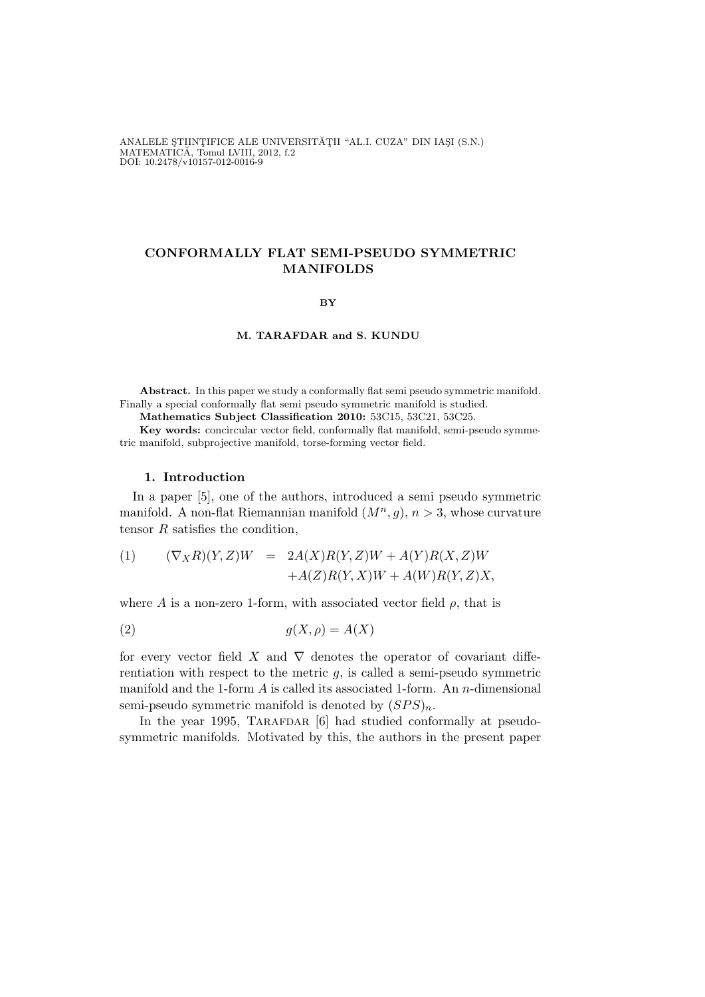ANALELE ȘTIINȚIFICE ALE UNIVERSITĂȚII "AL.I. CUZA" DIN IAȘI (S.N.) MATEMATÍCĂ, Tomul LVIII, 2012, f.2<br>DOI: 10.2478/v10157-012-0016-9

# CONFORMALLY FLAT SEMI-PSEUDO SYMMETRIC MANIFOLDS

#### BY

#### M. TARAFDAR and S. KUNDU

Abstract. In this paper we study a conformally flat semi pseudo symmetric manifold. Finally a special conformally flat semi pseudo symmetric manifold is studied.

Mathematics Subject Classification 2010: 53C15, 53C21, 53C25.

Key words: concircular vector field, conformally flat manifold, semi-pseudo symmetric manifold, subprojective manifold, torse-forming vector field.

### 1. Introduction

In a paper [5], one of the authors, introduced a semi pseudo symmetric manifold. A non-flat Riemannian manifold  $(M^n, g)$ ,  $n > 3$ , whose curvature tensor  $R$  satisfies the condition,

(1) 
$$
(\nabla_X R)(Y,Z)W = 2A(X)R(Y,Z)W + A(Y)R(X,Z)W
$$

$$
+A(Z)R(Y,X)W + A(W)R(Y,Z)X,
$$

where A is a non-zero 1-form, with associated vector field  $\rho$ , that is

$$
(2) \t\t g(X, \rho) = A(X)
$$

for every vector field X and  $\nabla$  denotes the operator of covariant differentiation with respect to the metric  $g$ , is called a semi-pseudo symmetric manifold and the 1-form  $A$  is called its associated 1-form. An n-dimensional semi-pseudo symmetric manifold is denoted by  $(SPS)_n$ .

In the year 1995, TARAFDAR [6] had studied conformally at pseudosymmetric manifolds. Motivated by this, the authors in the present paper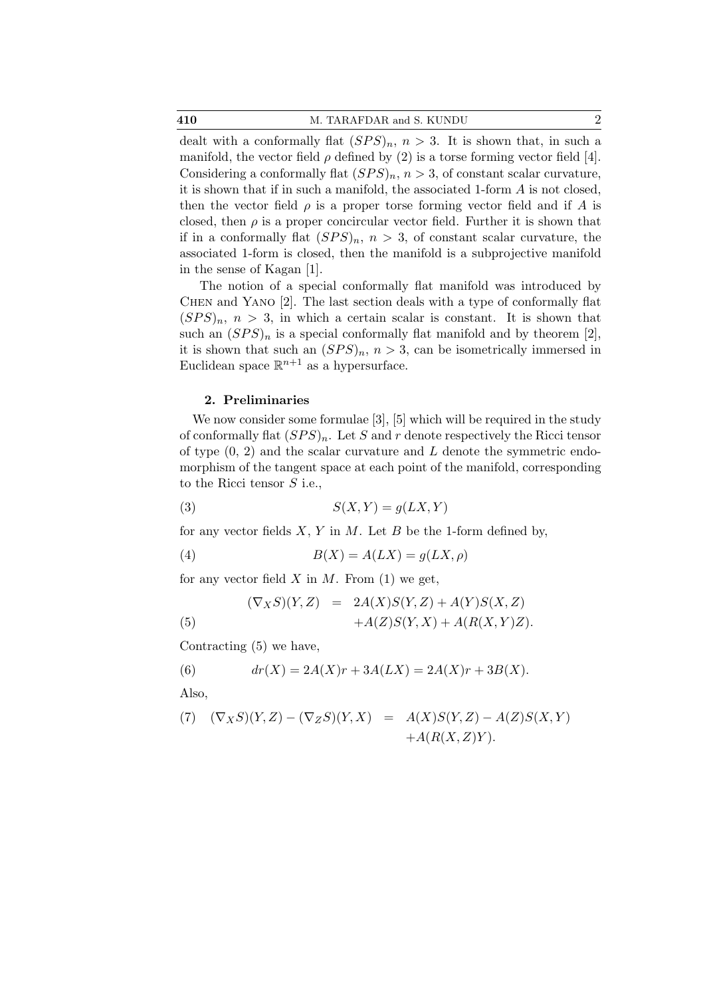410 M. TARAFDAR and S. KUNDU 2

dealt with a conformally flat  $(SPS)_n$ ,  $n > 3$ . It is shown that, in such a manifold, the vector field  $\rho$  defined by (2) is a torse forming vector field [4]. Considering a conformally flat  $(SPS)_n$ ,  $n > 3$ , of constant scalar curvature, it is shown that if in such a manifold, the associated 1-form A is not closed, then the vector field  $\rho$  is a proper torse forming vector field and if A is closed, then  $\rho$  is a proper concircular vector field. Further it is shown that if in a conformally flat  $(SPS)_n$ ,  $n > 3$ , of constant scalar curvature, the associated 1-form is closed, then the manifold is a subprojective manifold in the sense of Kagan [1].

The notion of a special conformally flat manifold was introduced by Chen and Yano [2]. The last section deals with a type of conformally flat  $(SPS)_n$ ,  $n > 3$ , in which a certain scalar is constant. It is shown that such an  $(SPS)_n$  is a special conformally flat manifold and by theorem [2], it is shown that such an  $(SPS)_n$ ,  $n > 3$ , can be isometrically immersed in Euclidean space  $\mathbb{R}^{n+1}$  as a hypersurface.

## 2. Preliminaries

We now consider some formulae [3], [5] which will be required in the study of conformally flat  $(SPS)_n$ . Let S and r denote respectively the Ricci tensor of type  $(0, 2)$  and the scalar curvature and L denote the symmetric endomorphism of the tangent space at each point of the manifold, corresponding to the Ricci tensor  $S$  i.e.,

$$
(3) \tS(X,Y) = g(LX,Y)
$$

for any vector fields  $X, Y$  in  $M$ . Let  $B$  be the 1-form defined by,

(4) 
$$
B(X) = A(LX) = g(LX, \rho)
$$

for any vector field  $X$  in  $M$ . From (1) we get,

(5) 
$$
(\nabla_X S)(Y,Z) = 2A(X)S(Y,Z) + A(Y)S(X,Z)
$$

$$
+A(Z)S(Y,X) + A(R(X,Y)Z).
$$

Contracting (5) we have,

(6) 
$$
dr(X) = 2A(X)r + 3A(LX) = 2A(X)r + 3B(X).
$$

Also,

(7) 
$$
(\nabla_X S)(Y, Z) - (\nabla_Z S)(Y, X) = A(X)S(Y, Z) - A(Z)S(X, Y) + A(R(X, Z)Y).
$$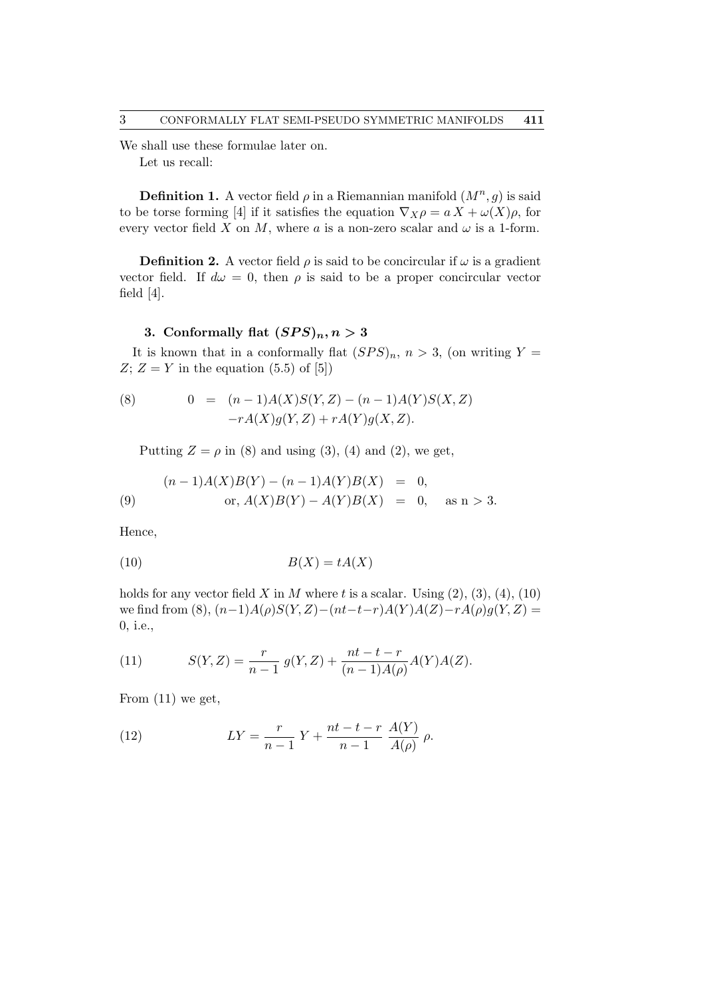We shall use these formulae later on. Let us recall:

**Definition 1.** A vector field  $\rho$  in a Riemannian manifold  $(M^n, g)$  is said to be torse forming [4] if it satisfies the equation  $\nabla_X \rho = a X + \omega(X)\rho$ , for every vector field X on M, where a is a non-zero scalar and  $\omega$  is a 1-form.

**Definition 2.** A vector field  $\rho$  is said to be concircular if  $\omega$  is a gradient vector field. If  $d\omega = 0$ , then  $\rho$  is said to be a proper concircular vector field [4].

# 3. Conformally flat  $(SPS)_n, n > 3$

It is known that in a conformally flat  $(SPS)_n$ ,  $n > 3$ , (on writing Y =  $Z; Z = Y$  in the equation (5.5) of [5])

(8) 
$$
0 = (n-1)A(X)S(Y,Z) - (n-1)A(Y)S(X,Z) - rA(X)g(Y,Z) + rA(Y)g(X,Z).
$$

Putting  $Z = \rho$  in (8) and using (3), (4) and (2), we get,

(9) 
$$
(n-1)A(X)B(Y) - (n-1)A(Y)B(X) = 0,
$$

$$
or, A(X)B(Y) - A(Y)B(X) = 0, \text{ as } n > 3.
$$

Hence,

$$
(10)\t\t\t B(X) = tA(X)
$$

holds for any vector field X in M where t is a scalar. Using  $(2)$ ,  $(3)$ ,  $(4)$ ,  $(10)$ we find from (8),  $(n-1)A(\rho)S(Y,Z)-(nt-t-r)A(Y)A(Z)-rA(\rho)g(Y,Z)$  = 0, i.e.,

(11) 
$$
S(Y,Z) = \frac{r}{n-1} g(Y,Z) + \frac{nt-t-r}{(n-1)A(\rho)} A(Y)A(Z).
$$

From (11) we get,

(12) 
$$
LY = \frac{r}{n-1}Y + \frac{nt - t - r}{n-1}\frac{A(Y)}{A(\rho)}\rho.
$$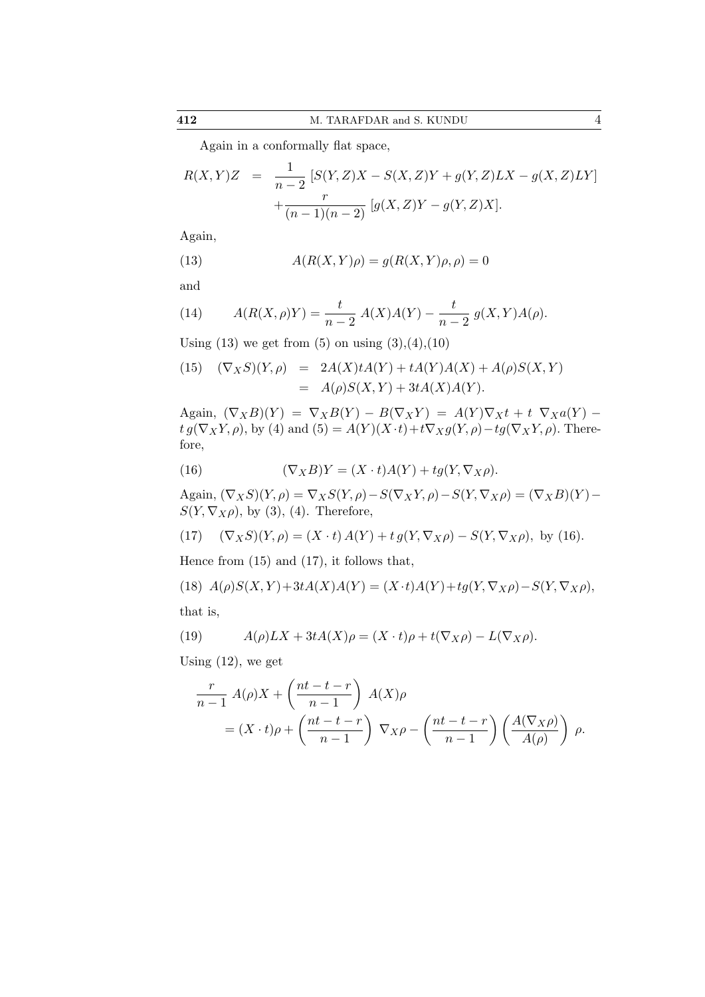Again in a conformally flat space,

$$
R(X,Y)Z = \frac{1}{n-2} [S(Y,Z)X - S(X,Z)Y + g(Y,Z)LX - g(X,Z)LY] + \frac{r}{(n-1)(n-2)} [g(X,Z)Y - g(Y,Z)X].
$$

Again,

(13) 
$$
A(R(X,Y)\rho) = g(R(X,Y)\rho, \rho) = 0
$$

and

(14) 
$$
A(R(X,\rho)Y) = \frac{t}{n-2} A(X)A(Y) - \frac{t}{n-2} g(X,Y)A(\rho).
$$

Using  $(13)$  we get from  $(5)$  on using  $(3),(4),(10)$ 

(15) 
$$
(\nabla_X S)(Y, \rho) = 2A(X)tA(Y) + tA(Y)A(X) + A(\rho)S(X, Y) = A(\rho)S(X, Y) + 3tA(X)A(Y).
$$

Again,  $(\nabla_X B)(Y) = \nabla_X B(Y) - B(\nabla_X Y) = A(Y) \nabla_X t + t \nabla_X a(Y)$  $t g(\nabla_X Y, \rho)$ , by (4) and  $(5) = A(Y)(X \cdot t) + t \nabla_X g(Y, \rho) - t g(\nabla_X Y, \rho)$ . Therefore,

(16) 
$$
(\nabla_X B)Y = (X \cdot t)A(Y) + tg(Y, \nabla_X \rho).
$$

Again,  $(\nabla_X S)(Y, \rho) = \nabla_X S(Y, \rho) - S(\nabla_X Y, \rho) - S(Y, \nabla_X \rho) = (\nabla_X B)(Y) S(Y, \nabla_X \rho)$ , by (3), (4). Therefore,

(17) 
$$
(\nabla_X S)(Y, \rho) = (X \cdot t) A(Y) + t g(Y, \nabla_X \rho) - S(Y, \nabla_X \rho), \text{ by (16)}.
$$

Hence from (15) and (17), it follows that,

(18) 
$$
A(\rho)S(X,Y) + 3tA(X)A(Y) = (X \cdot t)A(Y) + tg(Y, \nabla_X \rho) - S(Y, \nabla_X \rho),
$$

that is,

(19) 
$$
A(\rho) LX + 3tA(X)\rho = (X \cdot t)\rho + t(\nabla_X \rho) - L(\nabla_X \rho).
$$

Using  $(12)$ , we get

$$
\frac{r}{n-1} A(\rho)X + \left(\frac{nt-t-r}{n-1}\right) A(X)\rho
$$
  
=  $(X \cdot t)\rho + \left(\frac{nt-t-r}{n-1}\right) \nabla_X \rho - \left(\frac{nt-t-r}{n-1}\right) \left(\frac{A(\nabla_X \rho)}{A(\rho)}\right) \rho.$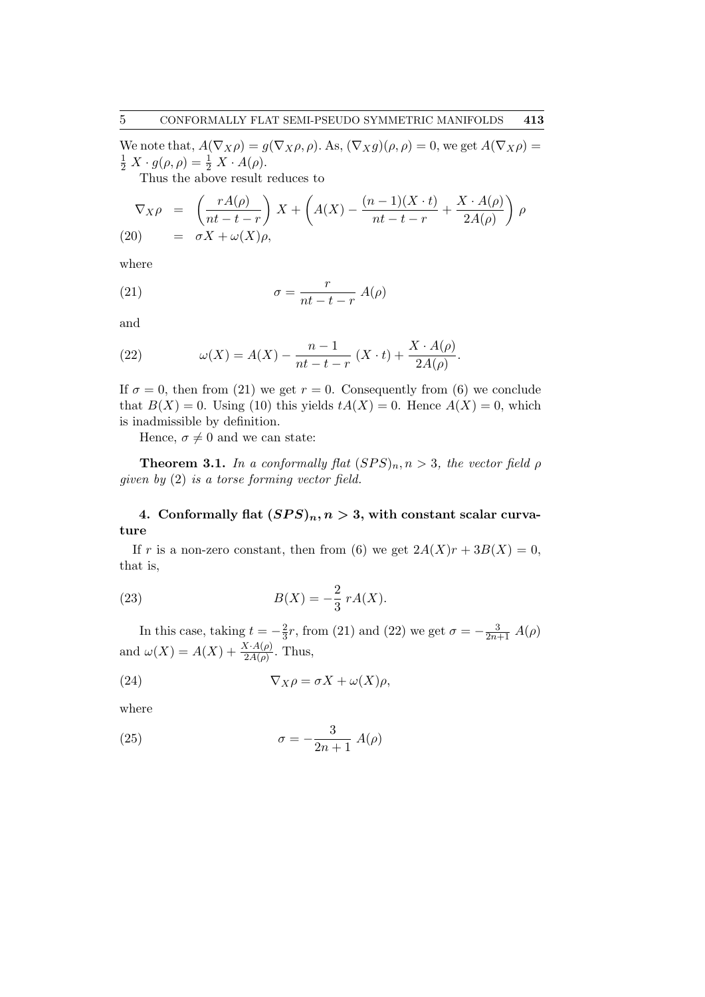We note that,  $A(\nabla_X \rho) = g(\nabla_X \rho, \rho)$ . As,  $(\nabla_X g)(\rho, \rho) = 0$ , we get  $A(\nabla_X \rho) =$  $\frac{1}{2} X \cdot g(\rho, \rho) = \frac{1}{2} X \cdot A(\rho).$ 

Thus the above result reduces to

$$
\nabla_X \rho = \left( \frac{rA(\rho)}{nt - t - r} \right) X + \left( A(X) - \frac{(n-1)(X \cdot t)}{nt - t - r} + \frac{X \cdot A(\rho)}{2A(\rho)} \right) \rho
$$
  
(20) =  $\sigma X + \omega(X)\rho$ ,

where

(21) 
$$
\sigma = \frac{r}{nt - t - r} A(\rho)
$$

and

(22) 
$$
\omega(X) = A(X) - \frac{n-1}{nt - t - r} (X \cdot t) + \frac{X \cdot A(\rho)}{2A(\rho)}.
$$

If  $\sigma = 0$ , then from (21) we get  $r = 0$ . Consequently from (6) we conclude that  $B(X) = 0$ . Using (10) this yields  $tA(X) = 0$ . Hence  $A(X) = 0$ , which is inadmissible by definition.

Hence,  $\sigma \neq 0$  and we can state:

**Theorem 3.1.** In a conformally flat  $(SPS)_n$ ,  $n > 3$ , the vector field  $\rho$ given by (2) is a torse forming vector field.

# 4. Conformally flat  $(SPS)_n, n > 3$ , with constant scalar curvature

If r is a non-zero constant, then from (6) we get  $2A(X)r + 3B(X) = 0$ , that is,

(23) 
$$
B(X) = -\frac{2}{3} r A(X).
$$

In this case, taking  $t = -\frac{2}{3}$  $\frac{2}{3}r$ , from (21) and (22) we get  $\sigma = -\frac{3}{2n+1} A(\rho)$ and  $\omega(X) = A(X) + \frac{X \cdot A(\rho)}{2A(\rho)}$ . Thus,

(24) 
$$
\nabla_X \rho = \sigma X + \omega(X)\rho,
$$

where

(25) 
$$
\sigma = -\frac{3}{2n+1} A(\rho)
$$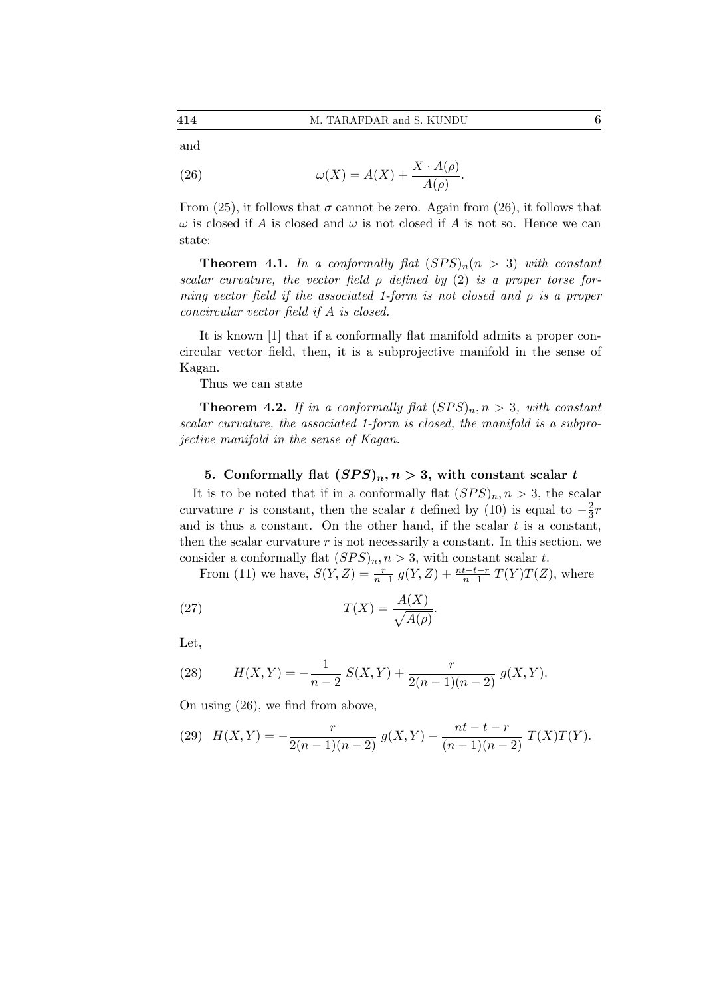(26) 
$$
\omega(X) = A(X) + \frac{X \cdot A(\rho)}{A(\rho)}.
$$

From (25), it follows that  $\sigma$  cannot be zero. Again from (26), it follows that  $\omega$  is closed if A is closed and  $\omega$  is not closed if A is not so. Hence we can state:

**Theorem 4.1.** In a conformally flat  $(SPS)<sub>n</sub>(n > 3)$  with constant scalar curvature, the vector field  $\rho$  defined by (2) is a proper torse forming vector field if the associated 1-form is not closed and  $\rho$  is a proper concircular vector field if A is closed.

It is known [1] that if a conformally flat manifold admits a proper concircular vector field, then, it is a subprojective manifold in the sense of Kagan.

Thus we can state

**Theorem 4.2.** If in a conformally flat  $(SPS)_n, n > 3$ , with constant scalar curvature, the associated 1-form is closed, the manifold is a subprojective manifold in the sense of Kagan.

## 5. Conformally flat  $(SPS)_n, n > 3$ , with constant scalar t

It is to be noted that if in a conformally flat  $(SPS)_n, n > 3$ , the scalar curvature r is constant, then the scalar t defined by (10) is equal to  $-\frac{2}{3}$  $rac{2}{3}r$ and is thus a constant. On the other hand, if the scalar  $t$  is a constant, then the scalar curvature  $r$  is not necessarily a constant. In this section, we consider a conformally flat  $(SPS)_n, n > 3$ , with constant scalar t.

From (11) we have,  $S(Y, Z) = \frac{r}{n-1} g(Y, Z) + \frac{nt-t-r}{n-1} T(Y) T(Z)$ , where

(27) 
$$
T(X) = \frac{A(X)}{\sqrt{A(\rho)}}.
$$

Let,

(28) 
$$
H(X,Y) = -\frac{1}{n-2} S(X,Y) + \frac{r}{2(n-1)(n-2)} g(X,Y).
$$

On using (26), we find from above,

(29) 
$$
H(X,Y) = -\frac{r}{2(n-1)(n-2)} g(X,Y) - \frac{nt-t-r}{(n-1)(n-2)} T(X)T(Y).
$$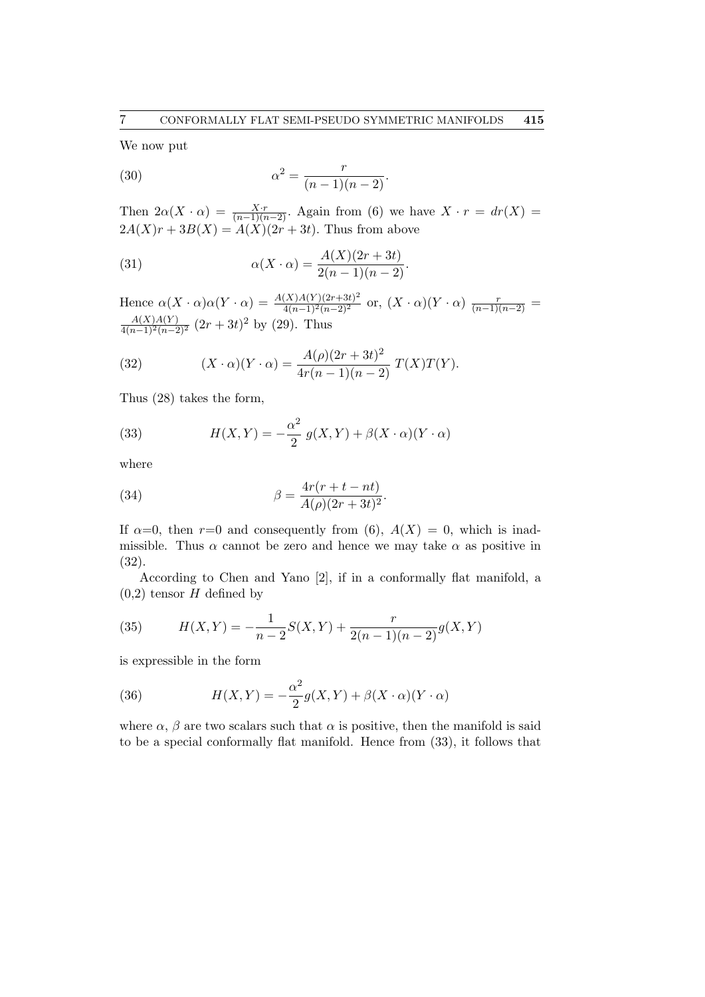We now put

(30) 
$$
\alpha^2 = \frac{r}{(n-1)(n-2)}.
$$

Then  $2\alpha(X \cdot \alpha) = \frac{X \cdot r}{(n-1)(n-2)}$ . Again from (6) we have  $X \cdot r = dr(X)$  $2A(X)r + 3B(X) = A(X)(2r + 3t)$ . Thus from above

(31) 
$$
\alpha(X \cdot \alpha) = \frac{A(X)(2r+3t)}{2(n-1)(n-2)}.
$$

Hence  $\alpha(X \cdot \alpha)\alpha(Y \cdot \alpha) = \frac{A(X)A(Y)(2r+3t)^2}{4(n-1)^2(n-2)^2}$  or,  $(X \cdot \alpha)(Y \cdot \alpha)$   $\frac{r}{(n-1)(n-2)}$  $\frac{A(X)A(Y)}{4(n-1)^2(n-2)^2}$   $(2r+3t)^2$  by (29). Thus

(32) 
$$
(X \cdot \alpha)(Y \cdot \alpha) = \frac{A(\rho)(2r+3t)^2}{4r(n-1)(n-2)} T(X)T(Y).
$$

Thus (28) takes the form,

(33) 
$$
H(X,Y) = -\frac{\alpha^2}{2} g(X,Y) + \beta(X \cdot \alpha)(Y \cdot \alpha)
$$

where

(34) 
$$
\beta = \frac{4r(r+t-nt)}{A(\rho)(2r+3t)^2}.
$$

If  $\alpha=0$ , then  $r=0$  and consequently from (6),  $A(X) = 0$ , which is inadmissible. Thus  $\alpha$  cannot be zero and hence we may take  $\alpha$  as positive in (32).

According to Chen and Yano [2], if in a conformally flat manifold, a  $(0,2)$  tensor H defined by

(35) 
$$
H(X,Y) = -\frac{1}{n-2}S(X,Y) + \frac{r}{2(n-1)(n-2)}g(X,Y)
$$

is expressible in the form

(36) 
$$
H(X,Y) = -\frac{\alpha^2}{2}g(X,Y) + \beta(X \cdot \alpha)(Y \cdot \alpha)
$$

where  $\alpha$ ,  $\beta$  are two scalars such that  $\alpha$  is positive, then the manifold is said to be a special conformally flat manifold. Hence from (33), it follows that